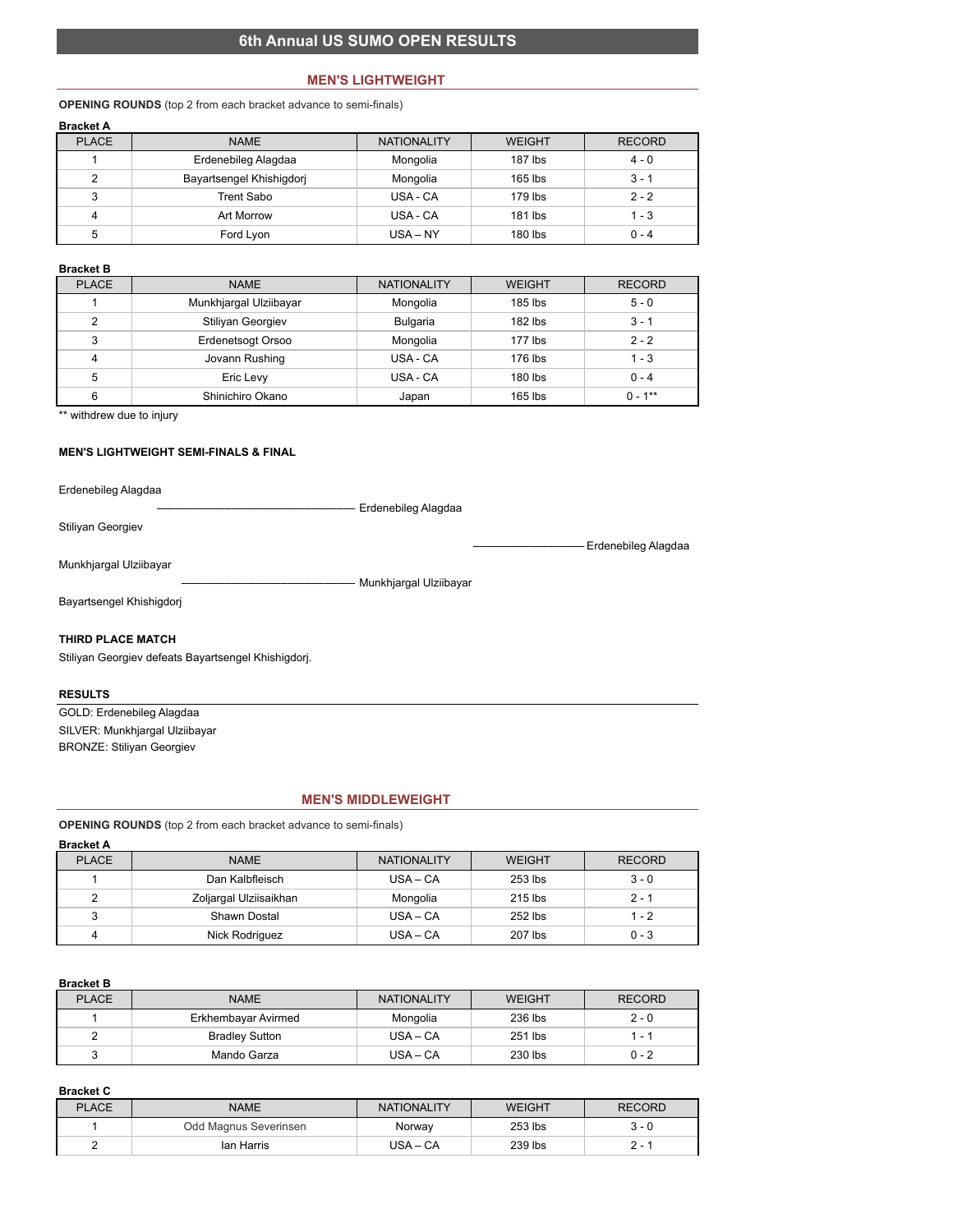# **6th Annual US SUMO OPEN RESULTS**

### **MEN'S LIGHTWEIGHT**

## **OPENING ROUNDS** (top 2 from each bracket advance to semi-finals)

| <b>Bracket A</b> |                          |                    |               |               |
|------------------|--------------------------|--------------------|---------------|---------------|
| <b>PLACE</b>     | <b>NAME</b>              | <b>NATIONALITY</b> | <b>WEIGHT</b> | <b>RECORD</b> |
|                  | Erdenebileg Alagdaa      | Mongolia           | $187$ lbs     | $4 - 0$       |
| 2                | Bayartsengel Khishigdorj | Mongolia           | $165$ lbs     | $3 - 1$       |
| 3                | Trent Sabo               | USA - CA           | 179 lbs       | $2 - 2$       |
| 4                | Art Morrow               | USA - CA           | 181 lbs       | $1 - 3$       |
| 5                | Ford Lyon                | $USA - NY$         | $180$ lbs     | $0 - 4$       |

### **Bracket B**

| <b>PLACE</b> | <b>NAME</b>            | <b>NATIONALITY</b> | <b>WEIGHT</b> | <b>RECORD</b> |
|--------------|------------------------|--------------------|---------------|---------------|
|              | Munkhjargal Ulziibayar | Mongolia           | $185$ lbs     | $5 - 0$       |
| 2            | Stiliyan Georgiev      | <b>Bulgaria</b>    | $182$ lbs     | $3 - 1$       |
| 3            | Erdenetsogt Orsoo      | Mongolia           | $177$ lbs     | $2 - 2$       |
| 4            | Jovann Rushing         | USA - CA           | 176 lbs       | $1 - 3$       |
| 5            | Eric Levy              | USA - CA           | $180$ lbs     | $0 - 4$       |
| 6            | Shinichiro Okano       | Japan              | $165$ lbs     | $0 - 1**$     |

\*\* withdrew due to injury

### **MEN'S LIGHTWEIGHT SEMI-FINALS & FINAL**

Erdenebileg Alagdaa

–––––––––––––––––––––––––––––––– Erdenebileg Alagdaa Stiliyan Georgiev

–––––––––––––––––– Erdenebileg Alagdaa

Munkhjargal Ulziibayar

–––––––––––––––––––––––––––– Munkhjargal Ulziibayar

Bayartsengel Khishigdorj

## **THIRD PLACE MATCH**

Stiliyan Georgiev defeats Bayartsengel Khishigdorj.

### **RESULTS**

GOLD: Erdenebileg Alagdaa SILVER: Munkhjargal Ulziibayar BRONZE: Stiliyan Georgiev

#### **MEN'S MIDDLEWEIGHT**

**OPENING ROUNDS** (top 2 from each bracket advance to semi-finals)

# **Bracket A**

| <b>PLACE</b> | <b>NAME</b>            | <b>NATIONALITY</b> | <b>WEIGHT</b> | <b>RECORD</b> |
|--------------|------------------------|--------------------|---------------|---------------|
|              | Dan Kalbfleisch        | $USA - CA$         | $253$ lbs     | $3 - 0$       |
| ົ            | Zoljargal Ulziisaikhan | Mongolia           | $215$ lbs     | $2 - 1$       |
| 3            | Shawn Dostal           | $USA - CA$         | 252 lbs       | $1 - 2$       |
| 4            | Nick Rodriguez         | $USA - CA$         | 207 lbs       | $0 - 3$       |

### **Bracket B**

| <b>PLACE</b> | <b>NAME</b>           | <b>NATIONALITY</b> | <b>WEIGHT</b> | <b>RECORD</b> |
|--------------|-----------------------|--------------------|---------------|---------------|
|              | Erkhembayar Avirmed   | Mongolia           | 236 lbs       | $2 - 0$       |
|              | <b>Bradley Sutton</b> | $USA - CA$         | 251 lbs       | 1 - 1         |
| ບ            | Mando Garza           | $USA - CA$         | 230 lbs       | $0 - 2$       |

#### **Bracket C**

| <b>PLACE</b> | <b>NAME</b>           | <b>NATIONALITY</b> | <b>WEIGHT</b> | <b>RECORD</b> |
|--------------|-----------------------|--------------------|---------------|---------------|
|              | Odd Magnus Severinsen | Norway             | 253 lbs       | 3 - 0         |
|              | lan Harris            | $USA - CA$         | 239 lbs       | . .           |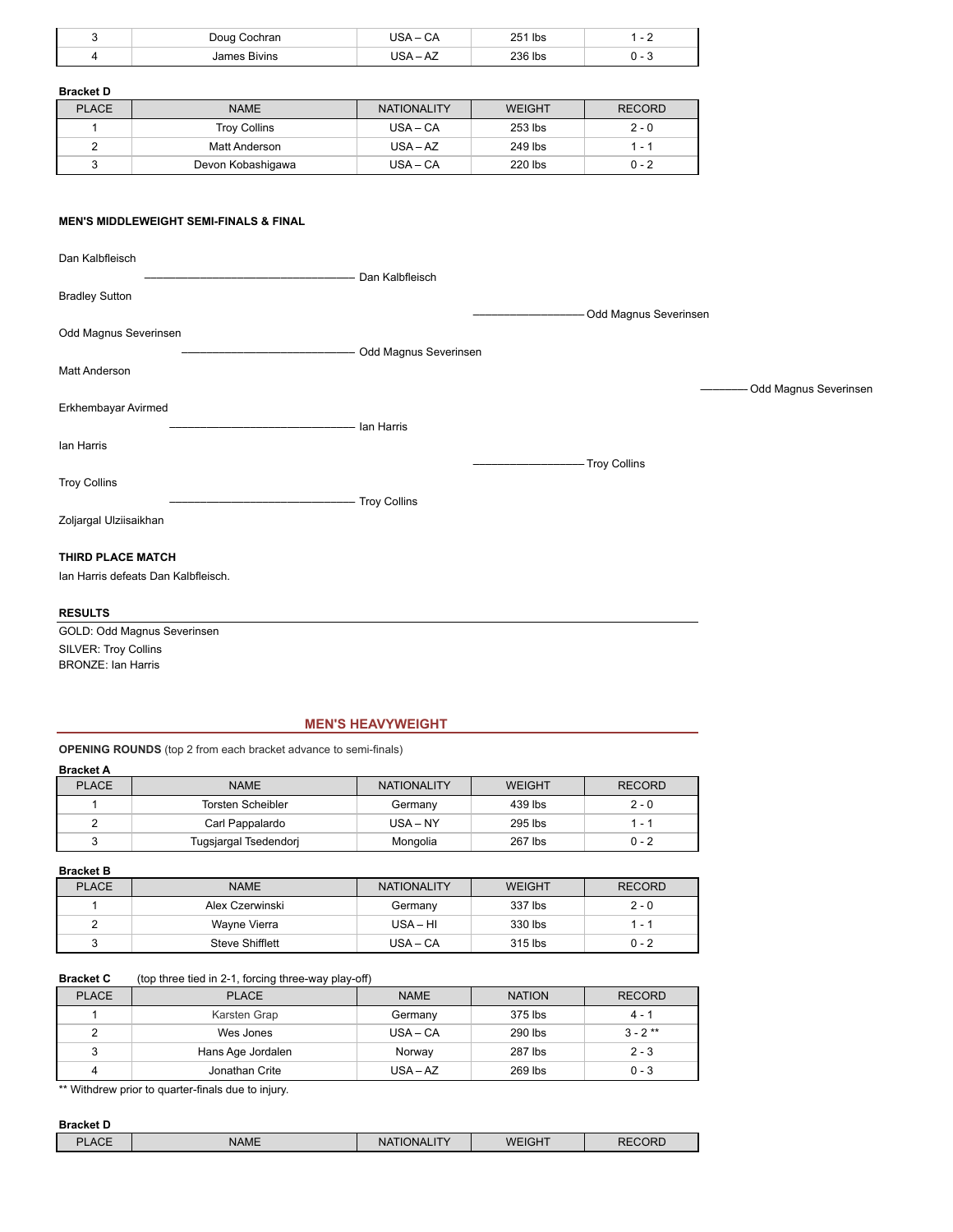| Doug<br>Cochran        | $\sim$<br>CА | 251 lbs |  |
|------------------------|--------------|---------|--|
| <b>Bivins</b><br>James |              | 236 lbs |  |

# **Bracket D**

| <b>PLACE</b> | <b>NAME</b>         | <b>NATIONALITY</b> | WEIGHT  | <b>RECORD</b> |
|--------------|---------------------|--------------------|---------|---------------|
|              | <b>Troy Collins</b> | $USA - CA$         | 253 lbs | $2 - 0$       |
| 2            | Matt Anderson       | $USA - AZ$         | 249 lbs | 1 - 1         |
|              | Devon Kobashigawa   | $USA - CA$         | 220 lbs | $0 - 2$       |

### **MEN'S MIDDLEWEIGHT SEMI-FINALS & FINAL**

| Dan Kalbfleisch                     |                       |                        |
|-------------------------------------|-----------------------|------------------------|
|                                     | Dan Kalbfleisch       |                        |
| <b>Bradley Sutton</b>               |                       |                        |
|                                     |                       | -Odd Magnus Severinsen |
| Odd Magnus Severinsen               |                       |                        |
|                                     | Odd Magnus Severinsen |                        |
| Matt Anderson                       |                       |                        |
|                                     |                       | Odd Magnus Severinsen  |
| Erkhembayar Avirmed                 | lan Harris            |                        |
| lan Harris                          |                       |                        |
|                                     |                       | - Troy Collins         |
| <b>Troy Collins</b>                 |                       |                        |
|                                     | - Troy Collins        |                        |
| Zoljargal Ulziisaikhan              |                       |                        |
| THIRD PLACE MATCH                   |                       |                        |
| Ian Harris defeats Dan Kalbfleisch. |                       |                        |
| <b>RESULTS</b>                      |                       |                        |
| GOLD: Odd Magnus Severinsen         |                       |                        |

SILVER: Troy Collins BRONZE: Ian Harris

# **MEN'S HEAVYWEIGHT**

**OPENING ROUNDS** (top 2 from each bracket advance to semi-finals)

**Bracket A**

| <b>PLACE</b> | <b>NAME</b>              | <b>NATIONALITY</b> | <b>WEIGHT</b> | <b>RECORD</b> |
|--------------|--------------------------|--------------------|---------------|---------------|
|              | <b>Torsten Scheibler</b> | Germany            | 439 lbs       | $2 - 0$       |
|              | Carl Pappalardo          | $USA - NY$         | 295 lbs       | 1 - 1         |
|              | Tugsjargal Tsedendorj    | Mongolia           | 267 lbs       | $0 - 2$       |

| <b>Bracket B</b> |                 |                    |               |               |
|------------------|-----------------|--------------------|---------------|---------------|
| <b>PLACE</b>     | <b>NAME</b>     | <b>NATIONALITY</b> | <b>WEIGHT</b> | <b>RECORD</b> |
|                  | Alex Czerwinski | Germany            | 337 lbs       | $2 - 0$       |
| 2                | Wayne Vierra    | $USA - HI$         | 330 lbs       | 1 - 1         |
| 3                | Steve Shifflett | $USA - CA$         | 315 lbs       | $0 - 2$       |

## **Bracket C** (top three tied in 2-1, forcing three-way play-off)

| <b>PLACE</b> | <b>PLACE</b>      | <b>NAME</b> | <b>NATION</b> | <b>RECORD</b> |
|--------------|-------------------|-------------|---------------|---------------|
|              | Karsten Grap      | Germany     | 375 lbs       | $4 - 1$       |
| 2            | Wes Jones         | $USA - CA$  | 290 lbs       | $3 - 2$ **    |
| 3            | Hans Age Jordalen | Norway      | 287 lbs       | $2 - 3$       |
| 4            | Jonathan Crite    | $USA - AZ$  | 269 lbs       | $0 - 3$       |

\*\* Withdrew prior to quarter-finals due to injury.

| <b>Bracket D</b> |             |                    |        |               |
|------------------|-------------|--------------------|--------|---------------|
| <b>PLACE</b>     | <b>NAME</b> | <b>NATIONALITY</b> | WEIGHT | <b>RECORD</b> |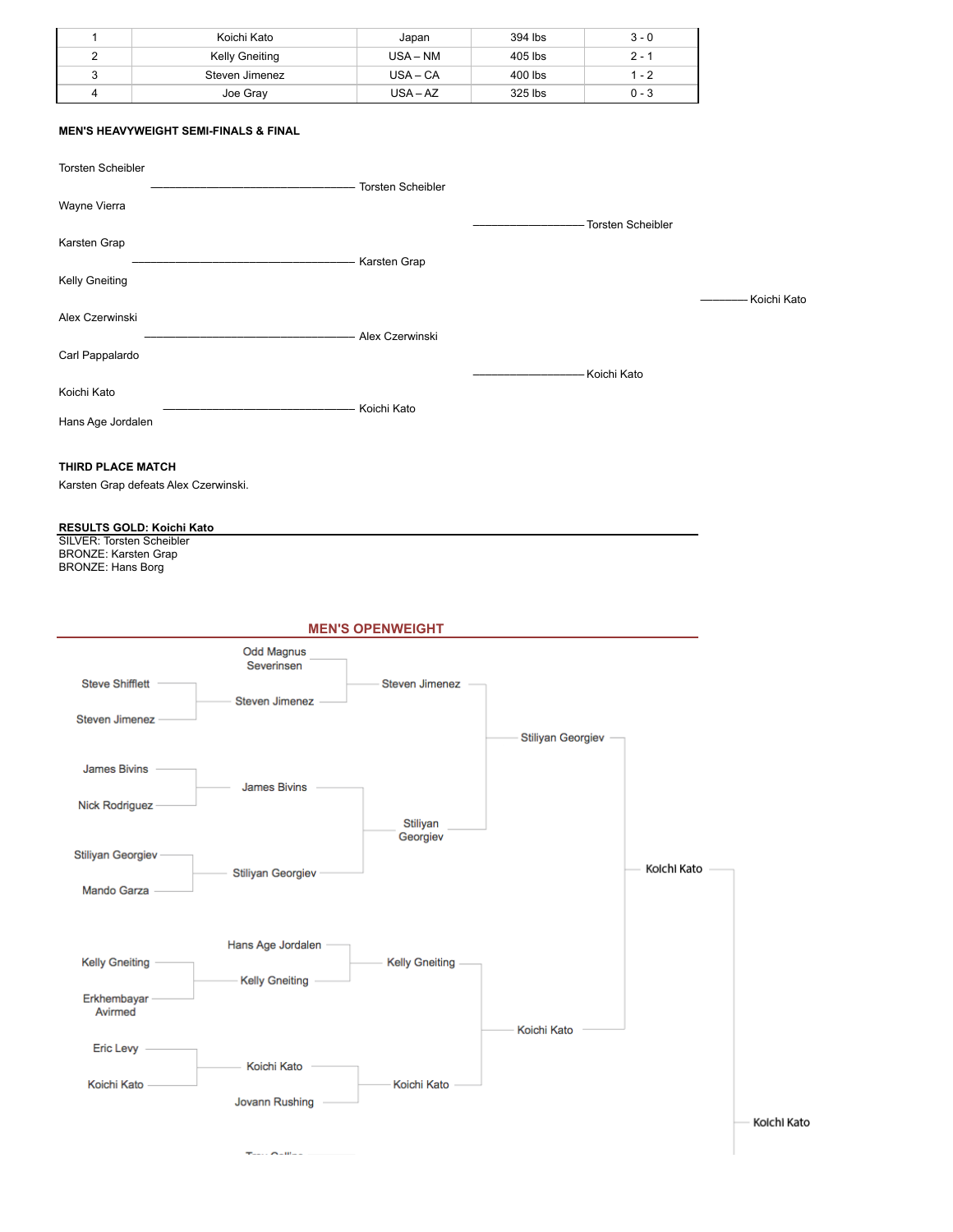|   | Koichi Kato           | Japan      | 394 lbs | $3 - 0$ |
|---|-----------------------|------------|---------|---------|
| ◠ | <b>Kelly Gneiting</b> | $USA - NM$ | 405 lbs | $2 - 1$ |
| 3 | Steven Jimenez        | $USA - CA$ | 400 lbs | 1 - 2   |
| 4 | Joe Gray              | $USA - AZ$ | 325 lbs | $0 - 3$ |

# **MEN'S HEAVYWEIGHT SEMI-FINALS & FINAL**

| <b>Torsten Scheibler</b>                                                                                                                                                        |                                 |                         |                          |                     |             |
|---------------------------------------------------------------------------------------------------------------------------------------------------------------------------------|---------------------------------|-------------------------|--------------------------|---------------------|-------------|
| Wayne Vierra                                                                                                                                                                    |                                 | Torsten Scheibler       |                          |                     |             |
| Karsten Grap                                                                                                                                                                    |                                 |                         |                          | - Torsten Scheibler |             |
| <b>Kelly Gneiting</b>                                                                                                                                                           |                                 | - Karsten Grap          |                          |                     |             |
| Alex Czerwinski                                                                                                                                                                 |                                 |                         |                          |                     | Koichi Kato |
| Carl Pappalardo                                                                                                                                                                 |                                 | Alex Czerwinski         |                          |                     |             |
| Koichi Kato                                                                                                                                                                     |                                 | - Koichi Kato           | Koichi Kato              |                     |             |
| Hans Age Jordalen                                                                                                                                                               |                                 |                         |                          |                     |             |
| THIRD PLACE MATCH<br>Karsten Grap defeats Alex Czerwinski.<br>RESULTS GOLD: Koichi Kato<br><b>SILVER: Torsten Scheibler</b><br><b>BRONZE: Karsten Grap</b><br>BRONZE: Hans Borg |                                 |                         |                          |                     |             |
|                                                                                                                                                                                 |                                 | <b>MEN'S OPENWEIGHT</b> |                          |                     |             |
| <b>Steve Shifflett</b>                                                                                                                                                          | <b>Odd Magnus</b><br>Severinsen | <b>Steven Jimenez</b>   |                          |                     |             |
| <b>Steven Jimenez</b>                                                                                                                                                           | <b>Steven Jimenez</b>           |                         | <b>Stiliyan Georgiev</b> |                     |             |
| <b>James Bivins</b>                                                                                                                                                             | <b>James Bivins</b>             |                         |                          |                     |             |
| Nick Rodriguez                                                                                                                                                                  |                                 | Stiliyan<br>Georgiev    |                          |                     |             |
| Stiliyan Georgiev-                                                                                                                                                              | <b>Stiliyan Georgiev</b>        |                         |                          | Koichi Kato         |             |
| Mando Garza                                                                                                                                                                     |                                 |                         |                          |                     |             |
|                                                                                                                                                                                 | Hans Age Jordalen               |                         |                          |                     |             |
| <b>Kelly Gneiting</b>                                                                                                                                                           | <b>Kelly Gneiting</b>           | <b>Kelly Gneiting</b>   |                          |                     |             |
| Erkhembayar<br>Avirmed                                                                                                                                                          |                                 |                         | Koichi Kato              |                     |             |
| Eric Levy -                                                                                                                                                                     | Koichi Kato                     |                         |                          |                     |             |
| Koichi Kato                                                                                                                                                                     | Jovann Rushing                  | Koichi Kato             |                          |                     |             |
|                                                                                                                                                                                 | $T_{max}$ , $C = 0$             |                         |                          |                     | Koichi Kato |

 $\tau_{\text{max}}, \sigma_{\text{alline}} \xrightarrow{\qquad}$